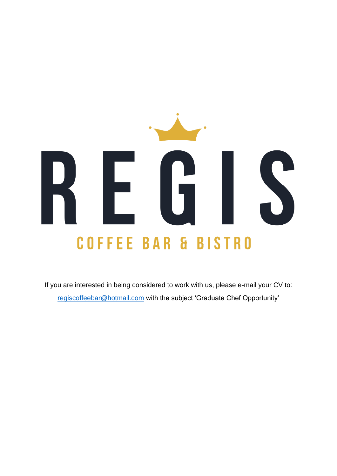# E S **COFFEE BAR & BISTRO**

If you are interested in being considered to work with us, please e-mail your CV to: [regiscoffeebar@hotmail.com](mailto:regiscoffeebar@hotmail.com) with the subject 'Graduate Chef Opportunity'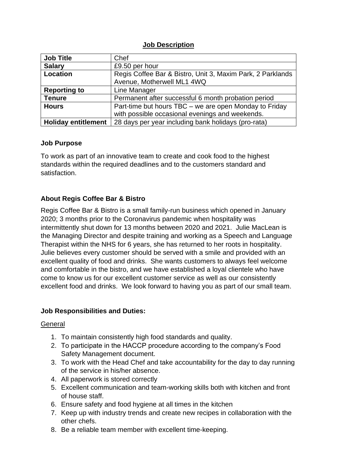### **Job Description**

| <b>Job Title</b>           | Chef                                                       |  |  |
|----------------------------|------------------------------------------------------------|--|--|
| <b>Salary</b>              | £9.50 per hour                                             |  |  |
| Location                   | Regis Coffee Bar & Bistro, Unit 3, Maxim Park, 2 Parklands |  |  |
|                            | Avenue, Motherwell ML1 4WQ                                 |  |  |
| <b>Reporting to</b>        | Line Manager                                               |  |  |
| <b>Tenure</b>              | Permanent after successful 6 month probation period        |  |  |
| <b>Hours</b>               | Part-time but hours TBC – we are open Monday to Friday     |  |  |
|                            | with possible occasional evenings and weekends.            |  |  |
| <b>Holiday entitlement</b> | 28 days per year including bank holidays (pro-rata)        |  |  |

## **Job Purpose**

To work as part of an innovative team to create and cook food to the highest standards within the required deadlines and to the customers standard and satisfaction.

# **About Regis Coffee Bar & Bistro**

Regis Coffee Bar & Bistro is a small family-run business which opened in January 2020; 3 months prior to the Coronavirus pandemic when hospitality was intermittently shut down for 13 months between 2020 and 2021. Julie MacLean is the Managing Director and despite training and working as a Speech and Language Therapist within the NHS for 6 years, she has returned to her roots in hospitality. Julie believes every customer should be served with a smile and provided with an excellent quality of food and drinks. She wants customers to always feel welcome and comfortable in the bistro, and we have established a loyal clientele who have come to know us for our excellent customer service as well as our consistently excellent food and drinks. We look forward to having you as part of our small team.

# **Job Responsibilities and Duties:**

#### **General**

- 1. To maintain consistently high food standards and quality.
- 2. To participate in the HACCP procedure according to the company's Food Safety Management document.
- 3. To work with the Head Chef and take accountability for the day to day running of the service in his/her absence.
- 4. All paperwork is stored correctly
- 5. Excellent communication and team-working skills both with kitchen and front of house staff.
- 6. Ensure safety and food hygiene at all times in the kitchen
- 7. Keep up with industry trends and create new recipes in collaboration with the other chefs.
- 8. Be a reliable team member with excellent time-keeping.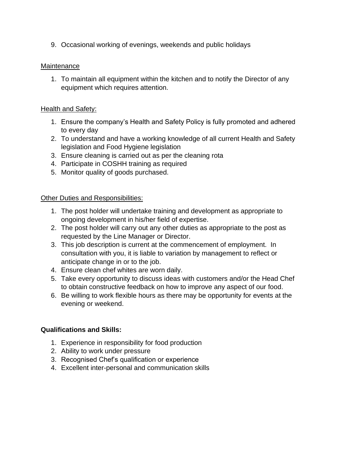9. Occasional working of evenings, weekends and public holidays

### **Maintenance**

1. To maintain all equipment within the kitchen and to notify the Director of any equipment which requires attention.

## Health and Safety:

- 1. Ensure the company's Health and Safety Policy is fully promoted and adhered to every day
- 2. To understand and have a working knowledge of all current Health and Safety legislation and Food Hygiene legislation
- 3. Ensure cleaning is carried out as per the cleaning rota
- 4. Participate in COSHH training as required
- 5. Monitor quality of goods purchased.

#### Other Duties and Responsibilities:

- 1. The post holder will undertake training and development as appropriate to ongoing development in his/her field of expertise.
- 2. The post holder will carry out any other duties as appropriate to the post as requested by the Line Manager or Director.
- 3. This job description is current at the commencement of employment. In consultation with you, it is liable to variation by management to reflect or anticipate change in or to the job.
- 4. Ensure clean chef whites are worn daily.
- 5. Take every opportunity to discuss ideas with customers and/or the Head Chef to obtain constructive feedback on how to improve any aspect of our food.
- 6. Be willing to work flexible hours as there may be opportunity for events at the evening or weekend.

# **Qualifications and Skills:**

- 1. Experience in responsibility for food production
- 2. Ability to work under pressure
- 3. Recognised Chef's qualification or experience
- 4. Excellent inter-personal and communication skills